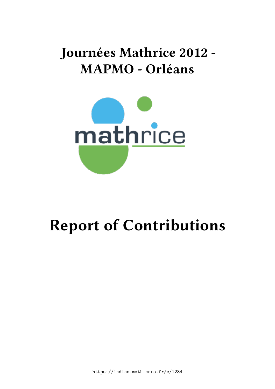# **Journées Mathrice 2012 - MAPMO - Orléans**



# **Report of Contributions**

https://indico.math.cnrs.fr/e/1284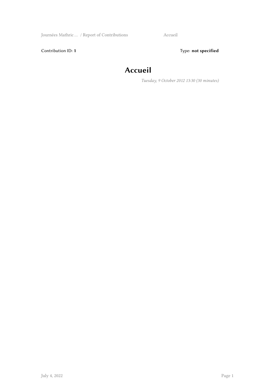Journées Mathric … / Report of Contributions Accueil

Contribution ID: 1 Type: **not specified** 

### **Accueil**

*Tuesday, 9 October 2012 13:30 (30 minutes)*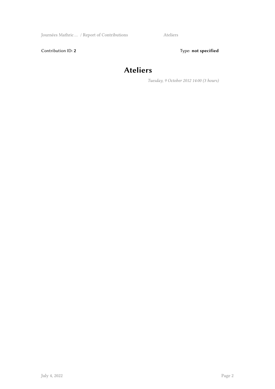Journées Mathric ... / Report of Contributions Ateliers

Contribution ID: 2 Type: **not specified** 

#### **Ateliers**

*Tuesday, 9 October 2012 14:00 (3 hours)*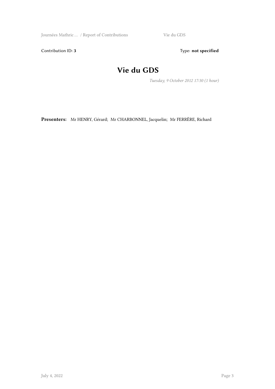Journées Mathric … / Report of Contributions Vie du GDS

Contribution ID: 3 Type: **not specified** 

#### **Vie du GDS**

*Tuesday, 9 October 2012 17:30 (1 hour)*

**Presenters:** Mr HENRY, Gérard; Mr CHARBONNEL, Jacquelin; Mr FERRÈRE, Richard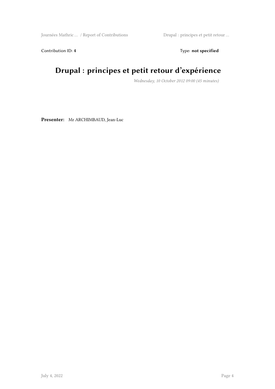Journées Mathric … / Report of Contributions Drupal : principes et petit retour …

Contribution ID: 4 Type: **not specified** 

#### **Drupal : principes et petit retour d'expérience**

*Wednesday, 10 October 2012 09:00 (45 minutes)*

**Presenter:** Mr ARCHIMBAUD, Jean-Luc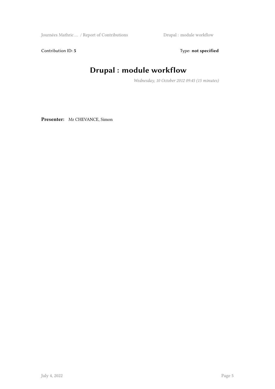Journées Mathric … / Report of Contributions Drupal : module workflow

Contribution ID: 5 Type: **not specified** 

#### **Drupal : module workflow**

*Wednesday, 10 October 2012 09:45 (15 minutes)*

**Presenter:** Mr CHEVANCE, Simon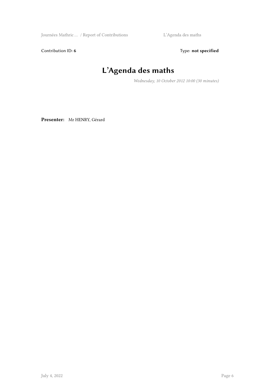Journées Mathric ... / Report of Contributions L'Agenda des maths

Contribution ID: 6 Type: not specified

# **L'Agenda des maths**

*Wednesday, 10 October 2012 10:00 (30 minutes)*

**Presenter:** Mr HENRY, Gérard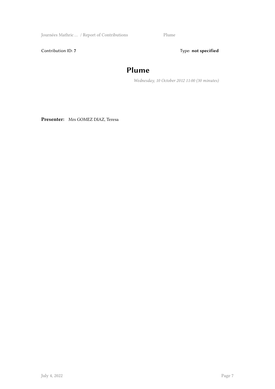Journées Mathric … / Report of Contributions Plume

Contribution ID: 7 Type: **not specified** 

#### **Plume**

*Wednesday, 10 October 2012 11:00 (30 minutes)*

**Presenter:** Mrs GOMEZ DIAZ, Teresa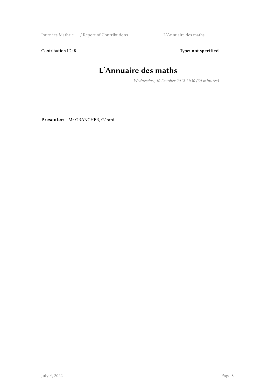Journées Mathric … / Report of Contributions L'Annuaire des maths

Contribution ID: 8 Type: **not specified** 

# **L'Annuaire des maths**

*Wednesday, 10 October 2012 11:30 (30 minutes)*

**Presenter:** Mr GRANCHER, Gérard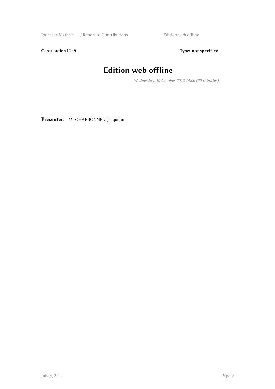Journées Mathric … / Report of Contributions Edition web offline

Contribution ID: 9 Type: **not specified** 

## **Edition web offline**

*Wednesday, 10 October 2012 14:00 (30 minutes)*

**Presenter:** Mr CHARBONNEL, Jacquelin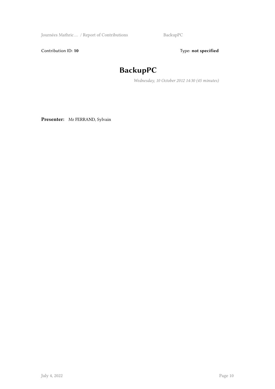Journées Mathric ... / Report of Contributions BackupPC

Contribution ID: 10 **Type:** not specified

### **BackupPC**

*Wednesday, 10 October 2012 14:30 (45 minutes)*

**Presenter:** Mr FERRAND, Sylvain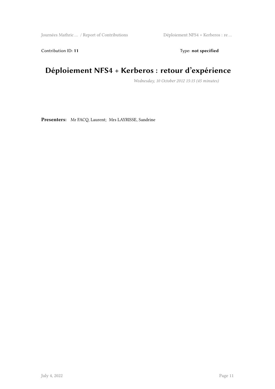Journées Mathric … / Report of Contributions Déploiement NFS4 + Kerberos : re …

Contribution ID: 11 Type: **not specified** 

#### **Déploiement NFS4 + Kerberos : retour d'expérience**

*Wednesday, 10 October 2012 15:15 (45 minutes)*

**Presenters:** Mr FACQ, Laurent; Mrs LAYRISSE, Sandrine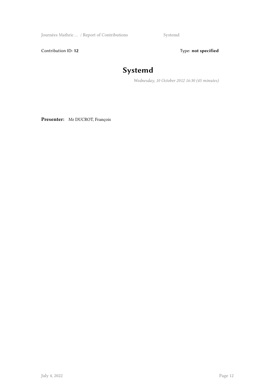Journées Mathric ... / Report of Contributions Systemd

Contribution ID: 12 Type: **not specified** 

#### **Systemd**

*Wednesday, 10 October 2012 16:30 (45 minutes)*

**Presenter:** Mr DUCROT, François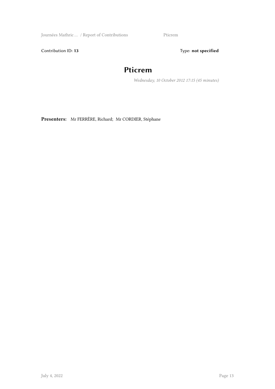Journées Mathric ... / Report of Contributions Pticrem

Contribution ID: 13 Type: **not specified** 

#### **Pticrem**

*Wednesday, 10 October 2012 17:15 (45 minutes)*

**Presenters:** Mr FERRÈRE, Richard; Mr CORDIER, Stéphane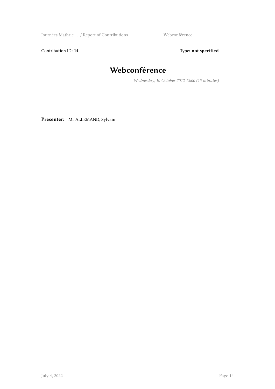Journées Mathric … / Report of Contributions Webconférence

Contribution ID: 14 Type: **not specified** 

#### **Webconférence**

*Wednesday, 10 October 2012 18:00 (15 minutes)*

**Presenter:** Mr ALLEMAND, Sylvain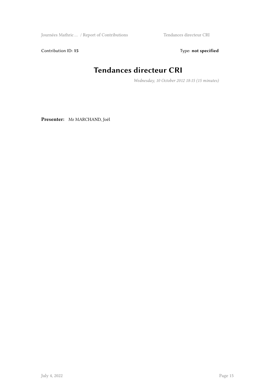Journées Mathric … / Report of Contributions Tendances directeur CRI

Contribution ID: 15 Type: **not specified** 

#### **Tendances directeur CRI**

*Wednesday, 10 October 2012 18:15 (15 minutes)*

**Presenter:** Mr MARCHAND, Joël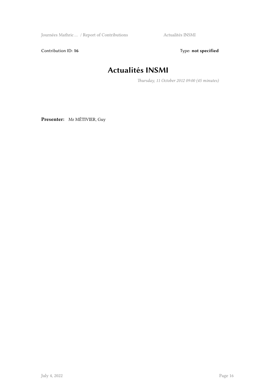Journées Mathric ... / Report of Contributions Actualités INSMI

Contribution ID: 16 Type: not specified

#### **Actualités INSMI**

*Thursday, 11 October 2012 09:00 (45 minutes)*

**Presenter:** Mr MÉTIVIER, Guy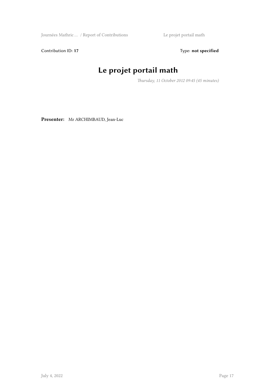Journées Mathric … / Report of Contributions Le projet portail math

Contribution ID: 17 Type: **not specified** 

# **Le projet portail math**

*Thursday, 11 October 2012 09:45 (45 minutes)*

**Presenter:** Mr ARCHIMBAUD, Jean-Luc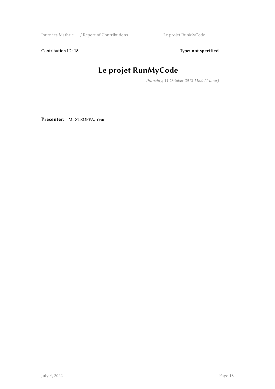Journées Mathric … / Report of Contributions Le projet RunMyCode

Contribution ID: 18 Type: not specified

### **Le projet RunMyCode**

*Thursday, 11 October 2012 11:00 (1 hour)*

**Presenter:** Mr STROPPA, Yvan